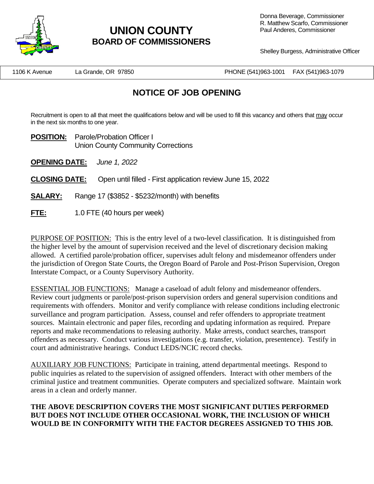

# **UNION COUNTY BOARD OF COMMISSIONERS**

Shelley Burgess, Administrative Officer

1106 K Avenue La Grande, OR 97850 PHONE (541)963-1001 FAX (541)963-1079

## **NOTICE OF JOB OPENING**

Recruitment is open to all that meet the qualifications below and will be used to fill this vacancy and others that may occur in the next six months to one year.

**POSITION:** Parole/Probation Officer I Union County Community Corrections

**OPENING DATE:** *June 1, 2022*

**CLOSING DATE:** Open until filled - First application review June 15, 2022

- **SALARY:** Range 17 (\$3852 \$5232/month) with benefits
- **FTE:** 1.0 FTE (40 hours per week)

PURPOSE OF POSITION: This is the entry level of a two-level classification. It is distinguished from the higher level by the amount of supervision received and the level of discretionary decision making allowed. A certified parole/probation officer, supervises adult felony and misdemeanor offenders under the jurisdiction of Oregon State Courts, the Oregon Board of Parole and Post-Prison Supervision, Oregon Interstate Compact, or a County Supervisory Authority.

ESSENTIAL JOB FUNCTIONS: Manage a caseload of adult felony and misdemeanor offenders. Review court judgments or parole/post-prison supervision orders and general supervision conditions and requirements with offenders. Monitor and verify compliance with release conditions including electronic surveillance and program participation. Assess, counsel and refer offenders to appropriate treatment sources. Maintain electronic and paper files, recording and updating information as required. Prepare reports and make recommendations to releasing authority. Make arrests, conduct searches, transport offenders as necessary. Conduct various investigations (e.g. transfer, violation, presentence). Testify in court and administrative hearings. Conduct LEDS/NCIC record checks.

AUXILIARY JOB FUNCTIONS: Participate in training, attend departmental meetings. Respond to public inquiries as related to the supervision of assigned offenders. Interact with other members of the criminal justice and treatment communities. Operate computers and specialized software. Maintain work areas in a clean and orderly manner.

### **THE ABOVE DESCRIPTION COVERS THE MOST SIGNIFICANT DUTIES PERFORMED BUT DOES NOT INCLUDE OTHER OCCASIONAL WORK, THE INCLUSION OF WHICH WOULD BE IN CONFORMITY WITH THE FACTOR DEGREES ASSIGNED TO THIS JOB.**